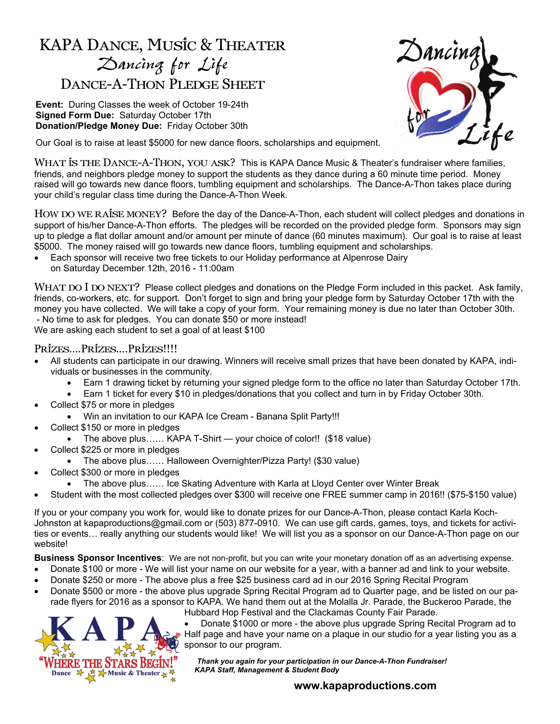## KAPA Dance, Music & Theater *Dancing for Life*  DANCE-A-THON PLEDGE SHEET

**Event:** During Classes the week of October 19-24th **Signed Form Due:** Saturday October 17th **Donation/Pledge Money Due:** Friday October 30th

Our Goal is to raise at least \$5000 for new dance floors, scholarships and equipment.



WHAT IS THE DANCE-A-THON, YOU ASK? This is KAPA Dance Music & Theater's fundraiser where families, friends, and neighbors pledge money to support the students as they dance during a 60 minute time period. Money raised will go towards new dance floors, tumbling equipment and scholarships. The Dance-A-Thon takes place during your child's regular class time during the Dance-A-Thon Week.

HOW DO WE RAISE MONEY? Before the day of the Dance-A-Thon, each student will collect pledges and donations in support of his/her Dance-A-Thon efforts. The pledges will be recorded on the provided pledge form. Sponsors may sign up to pledge a flat dollar amount and/or amount per minute of dance (60 minutes maximum). Our goal is to raise at least \$5000. The money raised will go towards new dance floors, tumbling equipment and scholarships.

 Each sponsor will receive two free tickets to our Holiday performance at Alpenrose Dairy on Saturday December 12th, 2016 - 11:00am

WHAT DO I DO NEXT? Please collect pledges and donations on the Pledge Form included in this packet. Ask family, friends, co-workers, etc. for support. Don't forget to sign and bring your pledge form by Saturday October 17th with the money you have collected. We will take a copy of your form. Your remaining money is due no later than October 30th. - No time to ask for pledges. You can donate \$50 or more instead!

We are asking each student to set a goal of at least \$100

## Prizes….Prizes….Prizes!!!!

- All students can participate in our drawing. Winners will receive small prizes that have been donated by KAPA, individuals or businesses in the community.
	- Earn 1 drawing ticket by returning your signed pledge form to the office no later than Saturday October 17th.
	- Earn 1 ticket for every \$10 in pledges/donations that you collect and turn in by Friday October 30th.
- Collect \$75 or more in pledges
	- Win an invitation to our KAPA Ice Cream Banana Split Party!!!
- Collect \$150 or more in pledges
	- The above plus…… KAPA T-Shirt your choice of color!! (\$18 value)
- Collect \$225 or more in pledges
	- The above plus…… Halloween Overnighter/Pizza Party! (\$30 value)
- Collect \$300 or more in pledges
	- The above plus…… Ice Skating Adventure with Karla at Lloyd Center over Winter Break
- Student with the most collected pledges over \$300 will receive one FREE summer camp in 2016!! (\$75-\$150 value)

If you or your company you work for, would like to donate prizes for our Dance-A-Thon, please contact Karla Koch-Johnston at kapaproductions@gmail.com or (503) 877-0910. We can use gift cards, games, toys, and tickets for activities or events… really anything our students would like! We will list you as a sponsor on our Dance-A-Thon page on our website!

**Business Sponsor Incentives**: We are not non-profit, but you can write your monetary donation off as an advertising expense.

- Donate \$100 or more We will list your name on our website for a year, with a banner ad and link to your website.
- Donate \$250 or more The above plus a free \$25 business card ad in our 2016 Spring Recital Program
- Donate \$500 or more the above plus upgrade Spring Recital Program ad to Quarter page, and be listed on our parade flyers for 2016 as a sponsor to KAPA. We hand them out at the Molalla Jr. Parade, the Buckeroo Parade, the Hubbard Hop Festival and the Clackamas County Fair Parade.



 Donate \$1000 or more - the above plus upgrade Spring Recital Program ad to Half page and have your name on a plaque in our studio for a year listing you as a sponsor to our program.

 *Thank you again for your participation in our Dance-A-Thon Fundraiser! KAPA Staff, Management & Student Body* 

## **www.kapaproductions.com**